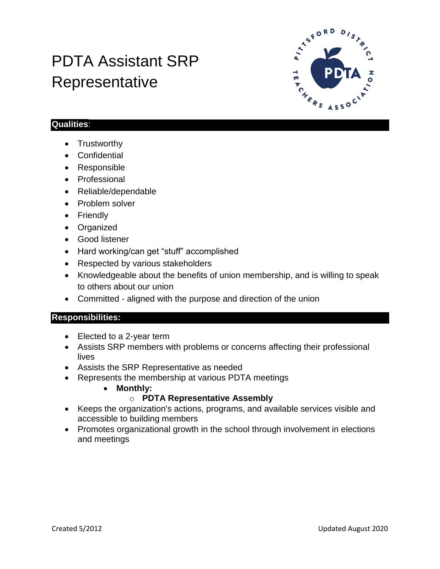# PDTA Assistant SRP Representative



## **Qualities**:

- Trustworthy
- Confidential
- Responsible
- Professional
- Reliable/dependable
- Problem solver
- Friendly
- Organized
- Good listener
- Hard working/can get "stuff" accomplished
- Respected by various stakeholders
- Knowledgeable about the benefits of union membership, and is willing to speak to others about our union
- Committed aligned with the purpose and direction of the union

## **Responsibilities:**

- Elected to a 2-year term
- Assists SRP members with problems or concerns affecting their professional lives
- Assists the SRP Representative as needed
- Represents the membership at various PDTA meetings
	- **Monthly:**

## o **PDTA Representative Assembly**

- Keeps the organization's actions, programs, and available services visible and accessible to building members
- Promotes organizational growth in the school through involvement in elections and meetings